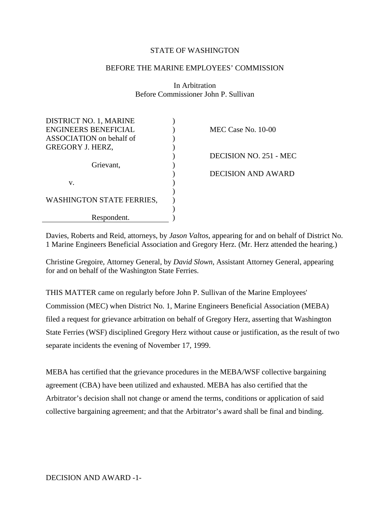### STATE OF WASHINGTON

### BEFORE THE MARINE EMPLOYEES' COMMISSION

In Arbitration Before Commissioner John P. Sullivan

| DISTRICT NO. 1, MARINE      |                        |
|-----------------------------|------------------------|
| <b>ENGINEERS BENEFICIAL</b> | MEC Case No. 10-00     |
| ASSOCIATION on behalf of    |                        |
| <b>GREGORY J. HERZ,</b>     |                        |
|                             | DECISION NO. 251 - MEC |
| Grievant,                   |                        |
|                             | DECISION AND AWARD     |
| v.                          |                        |
|                             |                        |
| WASHINGTON STATE FERRIES,   |                        |
|                             |                        |
| Respondent.                 |                        |

Davies, Roberts and Reid, attorneys, by *Jason Valtos*, appearing for and on behalf of District No. 1 Marine Engineers Beneficial Association and Gregory Herz. (Mr. Herz attended the hearing.)

Christine Gregoire, Attorney General, by *David Slown*, Assistant Attorney General, appearing for and on behalf of the Washington State Ferries.

THIS MATTER came on regularly before John P. Sullivan of the Marine Employees' Commission (MEC) when District No. 1, Marine Engineers Beneficial Association (MEBA) filed a request for grievance arbitration on behalf of Gregory Herz, asserting that Washington State Ferries (WSF) disciplined Gregory Herz without cause or justification, as the result of two separate incidents the evening of November 17, 1999.

MEBA has certified that the grievance procedures in the MEBA/WSF collective bargaining agreement (CBA) have been utilized and exhausted. MEBA has also certified that the Arbitrator's decision shall not change or amend the terms, conditions or application of said collective bargaining agreement; and that the Arbitrator's award shall be final and binding.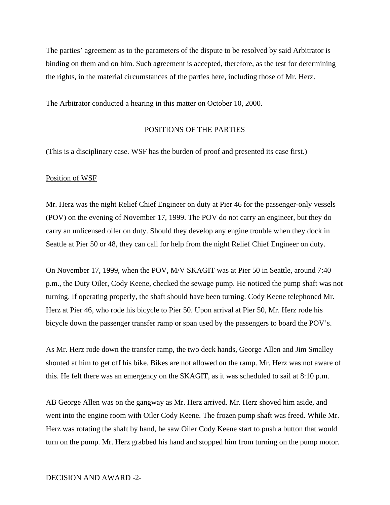The parties' agreement as to the parameters of the dispute to be resolved by said Arbitrator is binding on them and on him. Such agreement is accepted, therefore, as the test for determining the rights, in the material circumstances of the parties here, including those of Mr. Herz.

The Arbitrator conducted a hearing in this matter on October 10, 2000.

### POSITIONS OF THE PARTIES

(This is a disciplinary case. WSF has the burden of proof and presented its case first.)

#### Position of WSF

Mr. Herz was the night Relief Chief Engineer on duty at Pier 46 for the passenger-only vessels (POV) on the evening of November 17, 1999. The POV do not carry an engineer, but they do carry an unlicensed oiler on duty. Should they develop any engine trouble when they dock in Seattle at Pier 50 or 48, they can call for help from the night Relief Chief Engineer on duty.

On November 17, 1999, when the POV, M/V SKAGIT was at Pier 50 in Seattle, around 7:40 p.m., the Duty Oiler, Cody Keene, checked the sewage pump. He noticed the pump shaft was not turning. If operating properly, the shaft should have been turning. Cody Keene telephoned Mr. Herz at Pier 46, who rode his bicycle to Pier 50. Upon arrival at Pier 50, Mr. Herz rode his bicycle down the passenger transfer ramp or span used by the passengers to board the POV's.

As Mr. Herz rode down the transfer ramp, the two deck hands, George Allen and Jim Smalley shouted at him to get off his bike. Bikes are not allowed on the ramp. Mr. Herz was not aware of this. He felt there was an emergency on the SKAGIT, as it was scheduled to sail at 8:10 p.m.

AB George Allen was on the gangway as Mr. Herz arrived. Mr. Herz shoved him aside, and went into the engine room with Oiler Cody Keene. The frozen pump shaft was freed. While Mr. Herz was rotating the shaft by hand, he saw Oiler Cody Keene start to push a button that would turn on the pump. Mr. Herz grabbed his hand and stopped him from turning on the pump motor.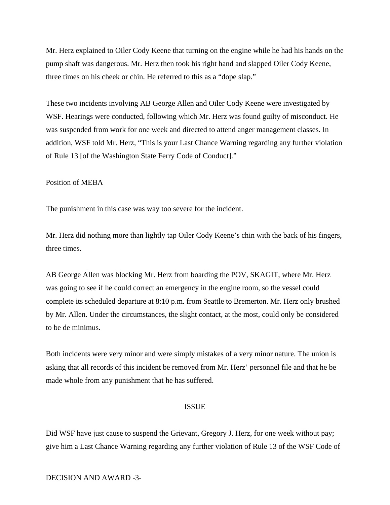Mr. Herz explained to Oiler Cody Keene that turning on the engine while he had his hands on the pump shaft was dangerous. Mr. Herz then took his right hand and slapped Oiler Cody Keene, three times on his cheek or chin. He referred to this as a "dope slap."

These two incidents involving AB George Allen and Oiler Cody Keene were investigated by WSF. Hearings were conducted, following which Mr. Herz was found guilty of misconduct. He was suspended from work for one week and directed to attend anger management classes. In addition, WSF told Mr. Herz, "This is your Last Chance Warning regarding any further violation of Rule 13 [of the Washington State Ferry Code of Conduct]."

#### Position of MEBA

The punishment in this case was way too severe for the incident.

Mr. Herz did nothing more than lightly tap Oiler Cody Keene's chin with the back of his fingers, three times.

AB George Allen was blocking Mr. Herz from boarding the POV, SKAGIT, where Mr. Herz was going to see if he could correct an emergency in the engine room, so the vessel could complete its scheduled departure at 8:10 p.m. from Seattle to Bremerton. Mr. Herz only brushed by Mr. Allen. Under the circumstances, the slight contact, at the most, could only be considered to be de minimus.

Both incidents were very minor and were simply mistakes of a very minor nature. The union is asking that all records of this incident be removed from Mr. Herz' personnel file and that he be made whole from any punishment that he has suffered.

#### ISSUE

Did WSF have just cause to suspend the Grievant, Gregory J. Herz, for one week without pay; give him a Last Chance Warning regarding any further violation of Rule 13 of the WSF Code of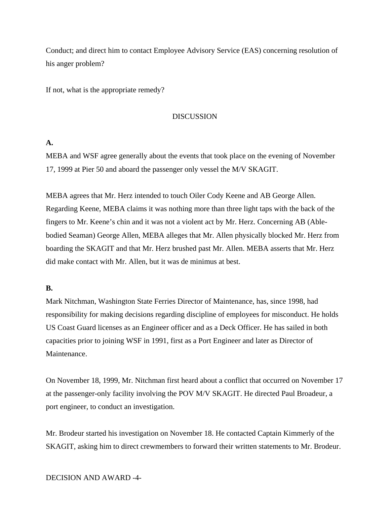Conduct; and direct him to contact Employee Advisory Service (EAS) concerning resolution of his anger problem?

If not, what is the appropriate remedy?

### DISCUSSION

## **A.**

MEBA and WSF agree generally about the events that took place on the evening of November 17, 1999 at Pier 50 and aboard the passenger only vessel the M/V SKAGIT.

MEBA agrees that Mr. Herz intended to touch Oiler Cody Keene and AB George Allen. Regarding Keene, MEBA claims it was nothing more than three light taps with the back of the fingers to Mr. Keene's chin and it was not a violent act by Mr. Herz. Concerning AB (Ablebodied Seaman) George Allen, MEBA alleges that Mr. Allen physically blocked Mr. Herz from boarding the SKAGIT and that Mr. Herz brushed past Mr. Allen. MEBA asserts that Mr. Herz did make contact with Mr. Allen, but it was de minimus at best.

## **B.**

Mark Nitchman, Washington State Ferries Director of Maintenance, has, since 1998, had responsibility for making decisions regarding discipline of employees for misconduct. He holds US Coast Guard licenses as an Engineer officer and as a Deck Officer. He has sailed in both capacities prior to joining WSF in 1991, first as a Port Engineer and later as Director of Maintenance.

On November 18, 1999, Mr. Nitchman first heard about a conflict that occurred on November 17 at the passenger-only facility involving the POV M/V SKAGIT. He directed Paul Broadeur, a port engineer, to conduct an investigation.

Mr. Brodeur started his investigation on November 18. He contacted Captain Kimmerly of the SKAGIT, asking him to direct crewmembers to forward their written statements to Mr. Brodeur.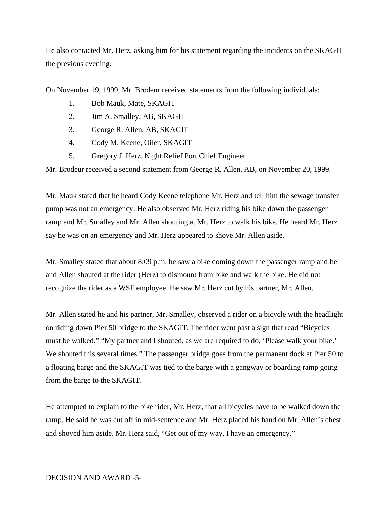He also contacted Mr. Herz, asking him for his statement regarding the incidents on the SKAGIT the previous evening.

On November 19, 1999, Mr. Brodeur received statements from the following individuals:

- 1. Bob Mauk, Mate, SKAGIT
- 2. Jim A. Smalley, AB, SKAGIT
- 3. George R. Allen, AB, SKAGIT
- 4. Cody M. Keene, Oiler, SKAGIT
- 5. Gregory J. Herz, Night Relief Port Chief Engineer

Mr. Brodeur received a second statement from George R. Allen, AB, on November 20, 1999.

Mr. Mauk stated that he heard Cody Keene telephone Mr. Herz and tell him the sewage transfer pump was not an emergency. He also observed Mr. Herz riding his bike down the passenger ramp and Mr. Smalley and Mr. Allen shouting at Mr. Herz to walk his bike. He heard Mr. Herz say he was on an emergency and Mr. Herz appeared to shove Mr. Allen aside.

Mr. Smalley stated that about 8:09 p.m. he saw a bike coming down the passenger ramp and he and Allen shouted at the rider (Herz) to dismount from bike and walk the bike. He did not recognize the rider as a WSF employee. He saw Mr. Herz cut by his partner, Mr. Allen.

Mr. Allen stated he and his partner, Mr. Smalley, observed a rider on a bicycle with the headlight on riding down Pier 50 bridge to the SKAGIT. The rider went past a sign that read "Bicycles must be walked." "My partner and I shouted, as we are required to do, 'Please walk your bike.' We shouted this several times." The passenger bridge goes from the permanent dock at Pier 50 to a floating barge and the SKAGIT was tied to the barge with a gangway or boarding ramp going from the barge to the SKAGIT.

He attempted to explain to the bike rider, Mr. Herz, that all bicycles have to be walked down the ramp. He said he was cut off in mid-sentence and Mr. Herz placed his hand on Mr. Allen's chest and shoved him aside. Mr. Herz said, "Get out of my way. I have an emergency."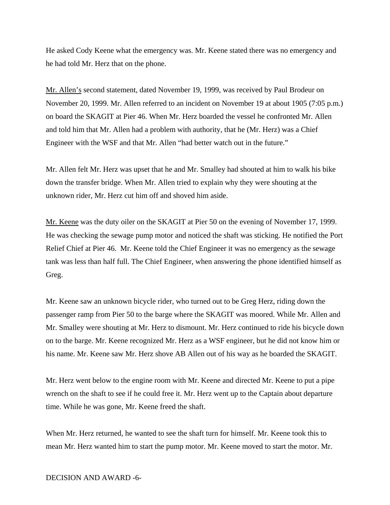He asked Cody Keene what the emergency was. Mr. Keene stated there was no emergency and he had told Mr. Herz that on the phone.

Mr. Allen's second statement, dated November 19, 1999, was received by Paul Brodeur on November 20, 1999. Mr. Allen referred to an incident on November 19 at about 1905 (7:05 p.m.) on board the SKAGIT at Pier 46. When Mr. Herz boarded the vessel he confronted Mr. Allen and told him that Mr. Allen had a problem with authority, that he (Mr. Herz) was a Chief Engineer with the WSF and that Mr. Allen "had better watch out in the future."

Mr. Allen felt Mr. Herz was upset that he and Mr. Smalley had shouted at him to walk his bike down the transfer bridge. When Mr. Allen tried to explain why they were shouting at the unknown rider, Mr. Herz cut him off and shoved him aside.

Mr. Keene was the duty oiler on the SKAGIT at Pier 50 on the evening of November 17, 1999. He was checking the sewage pump motor and noticed the shaft was sticking. He notified the Port Relief Chief at Pier 46. Mr. Keene told the Chief Engineer it was no emergency as the sewage tank was less than half full. The Chief Engineer, when answering the phone identified himself as Greg.

Mr. Keene saw an unknown bicycle rider, who turned out to be Greg Herz, riding down the passenger ramp from Pier 50 to the barge where the SKAGIT was moored. While Mr. Allen and Mr. Smalley were shouting at Mr. Herz to dismount. Mr. Herz continued to ride his bicycle down on to the barge. Mr. Keene recognized Mr. Herz as a WSF engineer, but he did not know him or his name. Mr. Keene saw Mr. Herz shove AB Allen out of his way as he boarded the SKAGIT.

Mr. Herz went below to the engine room with Mr. Keene and directed Mr. Keene to put a pipe wrench on the shaft to see if he could free it. Mr. Herz went up to the Captain about departure time. While he was gone, Mr. Keene freed the shaft.

When Mr. Herz returned, he wanted to see the shaft turn for himself. Mr. Keene took this to mean Mr. Herz wanted him to start the pump motor. Mr. Keene moved to start the motor. Mr.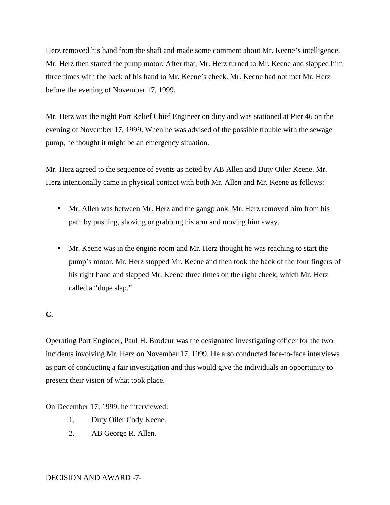Herz removed his hand from the shaft and made some comment about Mr. Keene's intelligence. Mr. Herz then started the pump motor. After that, Mr. Herz turned to Mr. Keene and slapped him three times with the back of his hand to Mr. Keene's cheek. Mr. Keene had not met Mr. Herz before the evening of November 17, 1999.

Mr. Herz was the night Port Relief Chief Engineer on duty and was stationed at Pier 46 on the evening of November 17, 1999. When he was advised of the possible trouble with the sewage pump, he thought it might be an emergency situation.

Mr. Herz agreed to the sequence of events as noted by AB Allen and Duty Oiler Keene. Mr. Herz intentionally came in physical contact with both Mr. Allen and Mr. Keene as follows:

- Mr. Allen was between Mr. Herz and the gangplank. Mr. Herz removed him from his path by pushing, shoving or grabbing his arm and moving him away.
- **Mr.** Keene was in the engine room and Mr. Herz thought he was reaching to start the pump's motor. Mr. Herz stopped Mr. Keene and then took the back of the four fingers of his right hand and slapped Mr. Keene three times on the right cheek, which Mr. Herz called a "dope slap."

# **C.**

Operating Port Engineer, Paul H. Brodeur was the designated investigating officer for the two incidents involving Mr. Herz on November 17, 1999. He also conducted face-to-face interviews as part of conducting a fair investigation and this would give the individuals an opportunity to present their vision of what took place.

On December 17, 1999, he interviewed:

- 1. Duty Oiler Cody Keene.
- 2. AB George R. Allen.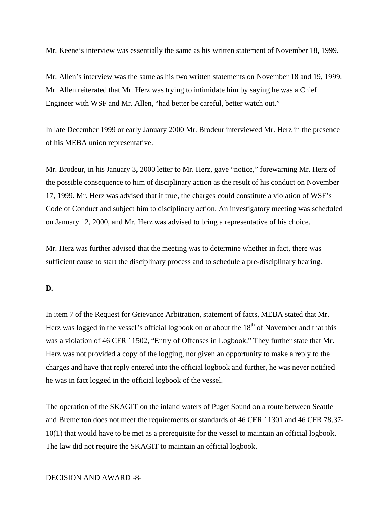Mr. Keene's interview was essentially the same as his written statement of November 18, 1999.

Mr. Allen's interview was the same as his two written statements on November 18 and 19, 1999. Mr. Allen reiterated that Mr. Herz was trying to intimidate him by saying he was a Chief Engineer with WSF and Mr. Allen, "had better be careful, better watch out."

In late December 1999 or early January 2000 Mr. Brodeur interviewed Mr. Herz in the presence of his MEBA union representative.

Mr. Brodeur, in his January 3, 2000 letter to Mr. Herz, gave "notice," forewarning Mr. Herz of the possible consequence to him of disciplinary action as the result of his conduct on November 17, 1999. Mr. Herz was advised that if true, the charges could constitute a violation of WSF's Code of Conduct and subject him to disciplinary action. An investigatory meeting was scheduled on January 12, 2000, and Mr. Herz was advised to bring a representative of his choice.

Mr. Herz was further advised that the meeting was to determine whether in fact, there was sufficient cause to start the disciplinary process and to schedule a pre-disciplinary hearing.

## **D.**

In item 7 of the Request for Grievance Arbitration, statement of facts, MEBA stated that Mr. Herz was logged in the vessel's official logbook on or about the  $18<sup>th</sup>$  of November and that this was a violation of 46 CFR 11502, "Entry of Offenses in Logbook." They further state that Mr. Herz was not provided a copy of the logging, nor given an opportunity to make a reply to the charges and have that reply entered into the official logbook and further, he was never notified he was in fact logged in the official logbook of the vessel.

The operation of the SKAGIT on the inland waters of Puget Sound on a route between Seattle and Bremerton does not meet the requirements or standards of 46 CFR 11301 and 46 CFR 78.37- 10(1) that would have to be met as a prerequisite for the vessel to maintain an official logbook. The law did not require the SKAGIT to maintain an official logbook.

## DECISION AND AWARD -8-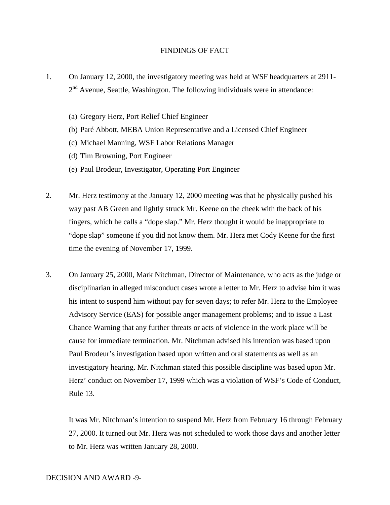### FINDINGS OF FACT

- 1. On January 12, 2000, the investigatory meeting was held at WSF headquarters at 2911-  $2<sup>nd</sup>$  Avenue, Seattle, Washington. The following individuals were in attendance:
	- (a) Gregory Herz, Port Relief Chief Engineer
	- (b) Paré Abbott, MEBA Union Representative and a Licensed Chief Engineer
	- (c) Michael Manning, WSF Labor Relations Manager
	- (d) Tim Browning, Port Engineer
	- (e) Paul Brodeur, Investigator, Operating Port Engineer
- 2. Mr. Herz testimony at the January 12, 2000 meeting was that he physically pushed his way past AB Green and lightly struck Mr. Keene on the cheek with the back of his fingers, which he calls a "dope slap." Mr. Herz thought it would be inappropriate to "dope slap" someone if you did not know them. Mr. Herz met Cody Keene for the first time the evening of November 17, 1999.
- 3. On January 25, 2000, Mark Nitchman, Director of Maintenance, who acts as the judge or disciplinarian in alleged misconduct cases wrote a letter to Mr. Herz to advise him it was his intent to suspend him without pay for seven days; to refer Mr. Herz to the Employee Advisory Service (EAS) for possible anger management problems; and to issue a Last Chance Warning that any further threats or acts of violence in the work place will be cause for immediate termination. Mr. Nitchman advised his intention was based upon Paul Brodeur's investigation based upon written and oral statements as well as an investigatory hearing. Mr. Nitchman stated this possible discipline was based upon Mr. Herz' conduct on November 17, 1999 which was a violation of WSF's Code of Conduct, Rule 13.

It was Mr. Nitchman's intention to suspend Mr. Herz from February 16 through February 27, 2000. It turned out Mr. Herz was not scheduled to work those days and another letter to Mr. Herz was written January 28, 2000.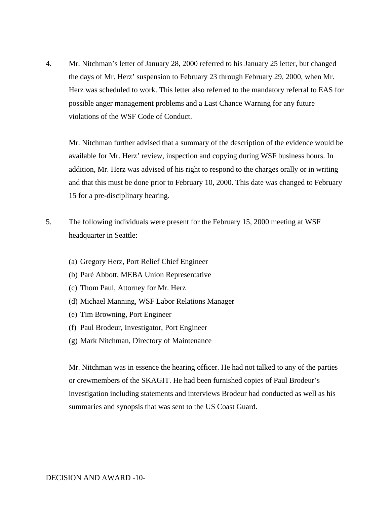4. Mr. Nitchman's letter of January 28, 2000 referred to his January 25 letter, but changed the days of Mr. Herz' suspension to February 23 through February 29, 2000, when Mr. Herz was scheduled to work. This letter also referred to the mandatory referral to EAS for possible anger management problems and a Last Chance Warning for any future violations of the WSF Code of Conduct.

Mr. Nitchman further advised that a summary of the description of the evidence would be available for Mr. Herz' review, inspection and copying during WSF business hours. In addition, Mr. Herz was advised of his right to respond to the charges orally or in writing and that this must be done prior to February 10, 2000. This date was changed to February 15 for a pre-disciplinary hearing.

- 5. The following individuals were present for the February 15, 2000 meeting at WSF headquarter in Seattle:
	- (a) Gregory Herz, Port Relief Chief Engineer
	- (b) Paré Abbott, MEBA Union Representative
	- (c) Thom Paul, Attorney for Mr. Herz
	- (d) Michael Manning, WSF Labor Relations Manager
	- (e) Tim Browning, Port Engineer
	- (f) Paul Brodeur, Investigator, Port Engineer
	- (g) Mark Nitchman, Directory of Maintenance

Mr. Nitchman was in essence the hearing officer. He had not talked to any of the parties or crewmembers of the SKAGIT. He had been furnished copies of Paul Brodeur's investigation including statements and interviews Brodeur had conducted as well as his summaries and synopsis that was sent to the US Coast Guard.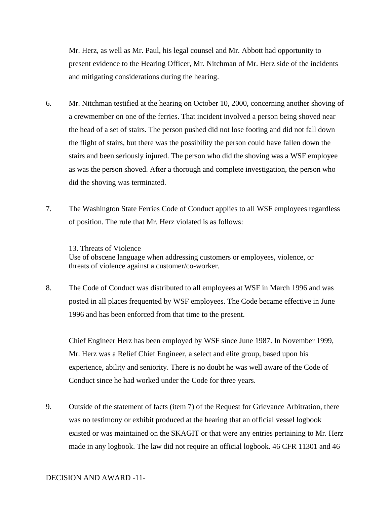Mr. Herz, as well as Mr. Paul, his legal counsel and Mr. Abbott had opportunity to present evidence to the Hearing Officer, Mr. Nitchman of Mr. Herz side of the incidents and mitigating considerations during the hearing.

- 6. Mr. Nitchman testified at the hearing on October 10, 2000, concerning another shoving of a crewmember on one of the ferries. That incident involved a person being shoved near the head of a set of stairs. The person pushed did not lose footing and did not fall down the flight of stairs, but there was the possibility the person could have fallen down the stairs and been seriously injured. The person who did the shoving was a WSF employee as was the person shoved. After a thorough and complete investigation, the person who did the shoving was terminated.
- 7. The Washington State Ferries Code of Conduct applies to all WSF employees regardless of position. The rule that Mr. Herz violated is as follows:

13. Threats of Violence Use of obscene language when addressing customers or employees, violence, or threats of violence against a customer/co-worker.

8. The Code of Conduct was distributed to all employees at WSF in March 1996 and was posted in all places frequented by WSF employees. The Code became effective in June 1996 and has been enforced from that time to the present.

Chief Engineer Herz has been employed by WSF since June 1987. In November 1999, Mr. Herz was a Relief Chief Engineer, a select and elite group, based upon his experience, ability and seniority. There is no doubt he was well aware of the Code of Conduct since he had worked under the Code for three years.

9. Outside of the statement of facts (item 7) of the Request for Grievance Arbitration, there was no testimony or exhibit produced at the hearing that an official vessel logbook existed or was maintained on the SKAGIT or that were any entries pertaining to Mr. Herz made in any logbook. The law did not require an official logbook. 46 CFR 11301 and 46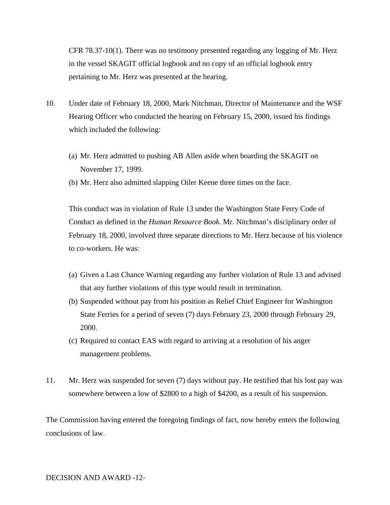CFR 78.37-10(1). There was no testimony presented regarding any logging of Mr. Herz in the vessel SKAGIT official logbook and no copy of an official logbook entry pertaining to Mr. Herz was presented at the hearing.

- 10. Under date of February 18, 2000, Mark Nitchman, Director of Maintenance and the WSF Hearing Officer who conducted the hearing on February 15, 2000, issued his findings which included the following:
	- (a) Mr. Herz admitted to pushing AB Allen aside when boarding the SKAGIT on November 17, 1999.
	- (b) Mr. Herz also admitted slapping Oiler Keene three times on the face.

This conduct was in violation of Rule 13 under the Washington State Ferry Code of Conduct as defined in the *Human Resource Book*. Mr. Nitchman's disciplinary order of February 18, 2000, involved three separate directions to Mr. Herz because of his violence to co-workers. He was:

- (a) Given a Last Chance Warning regarding any further violation of Rule 13 and advised that any further violations of this type would result in termination.
- (b) Suspended without pay from his position as Relief Chief Engineer for Washington State Ferries for a period of seven (7) days February 23, 2000 through February 29, 2000.
- (c) Required to contact EAS with regard to arriving at a resolution of his anger management problems.
- 11. Mr. Herz was suspended for seven (7) days without pay. He testified that his lost pay was somewhere between a low of \$2800 to a high of \$4200, as a result of his suspension.

The Commission having entered the foregoing findings of fact, now hereby enters the following conclusions of law.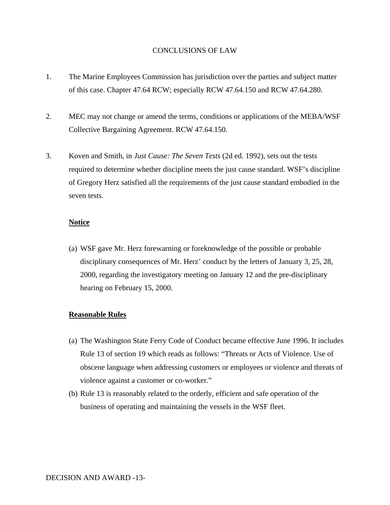### CONCLUSIONS OF LAW

- 1. The Marine Employees Commission has jurisdiction over the parties and subject matter of this case. Chapter 47.64 RCW; especially RCW 47.64.150 and RCW 47.64.280.
- 2. MEC may not change or amend the terms, conditions or applications of the MEBA/WSF Collective Bargaining Agreement. RCW 47.64.150.
- 3. Koven and Smith, in *Just Cause: The Seven Tests* (2d ed. 1992), sets out the tests required to determine whether discipline meets the just cause standard. WSF's discipline of Gregory Herz satisfied all the requirements of the just cause standard embodied in the seven tests.

## **Notice**

(a) WSF gave Mr. Herz forewarning or foreknowledge of the possible or probable disciplinary consequences of Mr. Herz' conduct by the letters of January 3, 25, 28, 2000, regarding the investigatory meeting on January 12 and the pre-disciplinary hearing on February 15, 2000.

#### **Reasonable Rules**

- (a) The Washington State Ferry Code of Conduct became effective June 1996. It includes Rule 13 of section 19 which reads as follows: "Threats or Acts of Violence. Use of obscene language when addressing customers or employees or violence and threats of violence against a customer or co-worker."
- (b) Rule 13 is reasonably related to the orderly, efficient and safe operation of the business of operating and maintaining the vessels in the WSF fleet.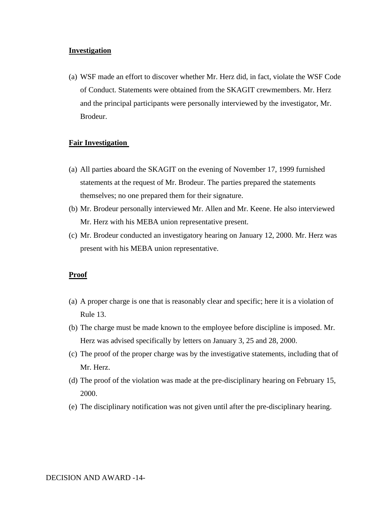### **Investigation**

(a) WSF made an effort to discover whether Mr. Herz did, in fact, violate the WSF Code of Conduct. Statements were obtained from the SKAGIT crewmembers. Mr. Herz and the principal participants were personally interviewed by the investigator, Mr. Brodeur.

#### **Fair Investigation**

- (a) All parties aboard the SKAGIT on the evening of November 17, 1999 furnished statements at the request of Mr. Brodeur. The parties prepared the statements themselves; no one prepared them for their signature.
- (b) Mr. Brodeur personally interviewed Mr. Allen and Mr. Keene. He also interviewed Mr. Herz with his MEBA union representative present.
- (c) Mr. Brodeur conducted an investigatory hearing on January 12, 2000. Mr. Herz was present with his MEBA union representative.

#### **Proof**

- (a) A proper charge is one that is reasonably clear and specific; here it is a violation of Rule 13.
- (b) The charge must be made known to the employee before discipline is imposed. Mr. Herz was advised specifically by letters on January 3, 25 and 28, 2000.
- (c) The proof of the proper charge was by the investigative statements, including that of Mr. Herz.
- (d) The proof of the violation was made at the pre-disciplinary hearing on February 15, 2000.
- (e) The disciplinary notification was not given until after the pre-disciplinary hearing.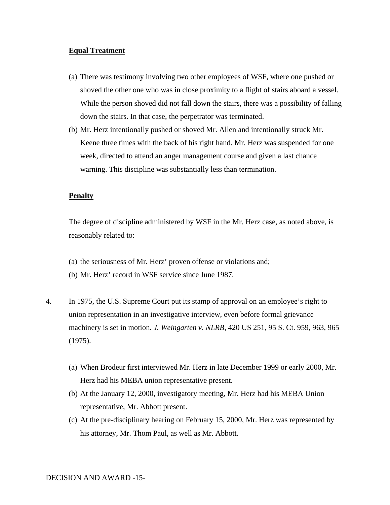### **Equal Treatment**

- (a) There was testimony involving two other employees of WSF, where one pushed or shoved the other one who was in close proximity to a flight of stairs aboard a vessel. While the person shoved did not fall down the stairs, there was a possibility of falling down the stairs. In that case, the perpetrator was terminated.
- (b) Mr. Herz intentionally pushed or shoved Mr. Allen and intentionally struck Mr. Keene three times with the back of his right hand. Mr. Herz was suspended for one week, directed to attend an anger management course and given a last chance warning. This discipline was substantially less than termination.

#### **Penalty**

The degree of discipline administered by WSF in the Mr. Herz case, as noted above, is reasonably related to:

- (a) the seriousness of Mr. Herz' proven offense or violations and;
- (b) Mr. Herz' record in WSF service since June 1987.
- 4. In 1975, the U.S. Supreme Court put its stamp of approval on an employee's right to union representation in an investigative interview, even before formal grievance machinery is set in motion. *J. Weingarten v. NLRB*, 420 US 251, 95 S. Ct. 959, 963, 965 (1975).
	- (a) When Brodeur first interviewed Mr. Herz in late December 1999 or early 2000, Mr. Herz had his MEBA union representative present.
	- (b) At the January 12, 2000, investigatory meeting, Mr. Herz had his MEBA Union representative, Mr. Abbott present.
	- (c) At the pre-disciplinary hearing on February 15, 2000, Mr. Herz was represented by his attorney, Mr. Thom Paul, as well as Mr. Abbott.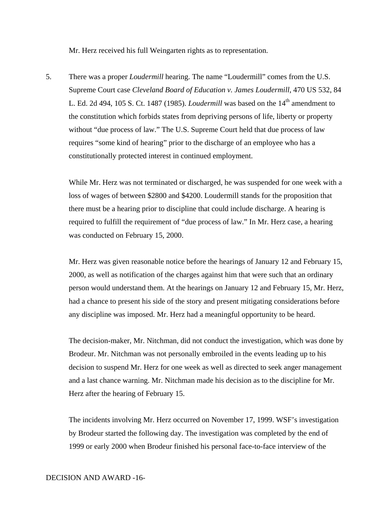Mr. Herz received his full Weingarten rights as to representation.

5. There was a proper *Loudermill* hearing. The name "Loudermill" comes from the U.S. Supreme Court case *Cleveland Board of Education v. James Loudermill*, 470 US 532, 84 L. Ed. 2d 494, 105 S. Ct. 1487 (1985). *Loudermill* was based on the 14<sup>th</sup> amendment to the constitution which forbids states from depriving persons of life, liberty or property without "due process of law." The U.S. Supreme Court held that due process of law requires "some kind of hearing" prior to the discharge of an employee who has a constitutionally protected interest in continued employment.

While Mr. Herz was not terminated or discharged, he was suspended for one week with a loss of wages of between \$2800 and \$4200. Loudermill stands for the proposition that there must be a hearing prior to discipline that could include discharge. A hearing is required to fulfill the requirement of "due process of law." In Mr. Herz case, a hearing was conducted on February 15, 2000.

Mr. Herz was given reasonable notice before the hearings of January 12 and February 15, 2000, as well as notification of the charges against him that were such that an ordinary person would understand them. At the hearings on January 12 and February 15, Mr. Herz, had a chance to present his side of the story and present mitigating considerations before any discipline was imposed. Mr. Herz had a meaningful opportunity to be heard.

The decision-maker, Mr. Nitchman, did not conduct the investigation, which was done by Brodeur. Mr. Nitchman was not personally embroiled in the events leading up to his decision to suspend Mr. Herz for one week as well as directed to seek anger management and a last chance warning. Mr. Nitchman made his decision as to the discipline for Mr. Herz after the hearing of February 15.

The incidents involving Mr. Herz occurred on November 17, 1999. WSF's investigation by Brodeur started the following day. The investigation was completed by the end of 1999 or early 2000 when Brodeur finished his personal face-to-face interview of the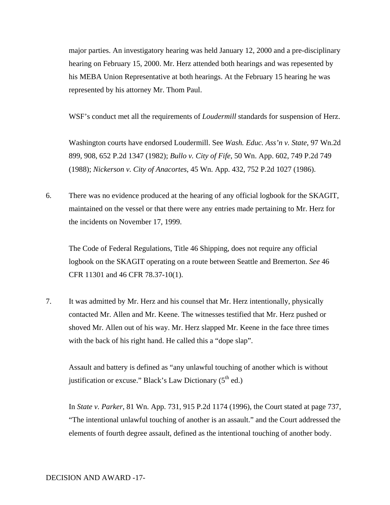major parties. An investigatory hearing was held January 12, 2000 and a pre-disciplinary hearing on February 15, 2000. Mr. Herz attended both hearings and was repesented by his MEBA Union Representative at both hearings. At the February 15 hearing he was represented by his attorney Mr. Thom Paul.

WSF's conduct met all the requirements of *Loudermill* standards for suspension of Herz.

Washington courts have endorsed Loudermill. See *Wash. Educ. Ass'n v. State*, 97 Wn.2d 899, 908, 652 P.2d 1347 (1982); *Bullo v. City of Fife*, 50 Wn. App. 602, 749 P.2d 749 (1988); *Nickerson v. City of Anacortes*, 45 Wn. App. 432, 752 P.2d 1027 (1986).

6. There was no evidence produced at the hearing of any official logbook for the SKAGIT, maintained on the vessel or that there were any entries made pertaining to Mr. Herz for the incidents on November 17, 1999.

The Code of Federal Regulations, Title 46 Shipping, does not require any official logbook on the SKAGIT operating on a route between Seattle and Bremerton. *See* 46 CFR 11301 and 46 CFR 78.37-10(1).

7. It was admitted by Mr. Herz and his counsel that Mr. Herz intentionally, physically contacted Mr. Allen and Mr. Keene. The witnesses testified that Mr. Herz pushed or shoved Mr. Allen out of his way. Mr. Herz slapped Mr. Keene in the face three times with the back of his right hand. He called this a "dope slap".

Assault and battery is defined as "any unlawful touching of another which is without justification or excuse." Black's Law Dictionary  $(5<sup>th</sup>$  ed.)

In *State v. Parker*, 81 Wn. App. 731, 915 P.2d 1174 (1996), the Court stated at page 737, "The intentional unlawful touching of another is an assault." and the Court addressed the elements of fourth degree assault, defined as the intentional touching of another body.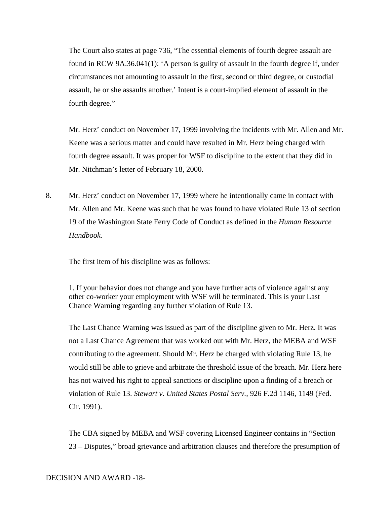The Court also states at page 736, "The essential elements of fourth degree assault are found in RCW 9A.36.041(1): 'A person is guilty of assault in the fourth degree if, under circumstances not amounting to assault in the first, second or third degree, or custodial assault, he or she assaults another.' Intent is a court-implied element of assault in the fourth degree."

Mr. Herz' conduct on November 17, 1999 involving the incidents with Mr. Allen and Mr. Keene was a serious matter and could have resulted in Mr. Herz being charged with fourth degree assault. It was proper for WSF to discipline to the extent that they did in Mr. Nitchman's letter of February 18, 2000.

8. Mr. Herz' conduct on November 17, 1999 where he intentionally came in contact with Mr. Allen and Mr. Keene was such that he was found to have violated Rule 13 of section 19 of the Washington State Ferry Code of Conduct as defined in the *Human Resource Handbook.*

The first item of his discipline was as follows:

1. If your behavior does not change and you have further acts of violence against any other co-worker your employment with WSF will be terminated. This is your Last Chance Warning regarding any further violation of Rule 13.

The Last Chance Warning was issued as part of the discipline given to Mr. Herz. It was not a Last Chance Agreement that was worked out with Mr. Herz, the MEBA and WSF contributing to the agreement. Should Mr. Herz be charged with violating Rule 13, he would still be able to grieve and arbitrate the threshold issue of the breach. Mr. Herz here has not waived his right to appeal sanctions or discipline upon a finding of a breach or violation of Rule 13. *Stewart v. United States Postal Serv.,* 926 F.2d 1146, 1149 (Fed. Cir. 1991).

The CBA signed by MEBA and WSF covering Licensed Engineer contains in "Section 23 – Disputes," broad grievance and arbitration clauses and therefore the presumption of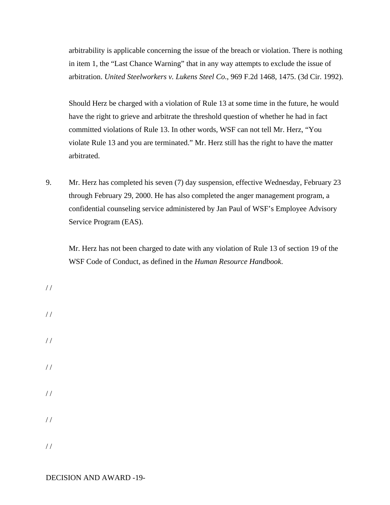arbitrability is applicable concerning the issue of the breach or violation. There is nothing in item 1, the "Last Chance Warning" that in any way attempts to exclude the issue of arbitration. *United Steelworkers v. Lukens Steel Co*., 969 F.2d 1468, 1475. (3d Cir. 1992).

Should Herz be charged with a violation of Rule 13 at some time in the future, he would have the right to grieve and arbitrate the threshold question of whether he had in fact committed violations of Rule 13. In other words, WSF can not tell Mr. Herz, "You violate Rule 13 and you are terminated." Mr. Herz still has the right to have the matter arbitrated.

9. Mr. Herz has completed his seven (7) day suspension, effective Wednesday, February 23 through February 29, 2000. He has also completed the anger management program, a confidential counseling service administered by Jan Paul of WSF's Employee Advisory Service Program (EAS).

Mr. Herz has not been charged to date with any violation of Rule 13 of section 19 of the WSF Code of Conduct, as defined in the *Human Resource Handbook*.

/ / / / / / / / / / / /

/ /